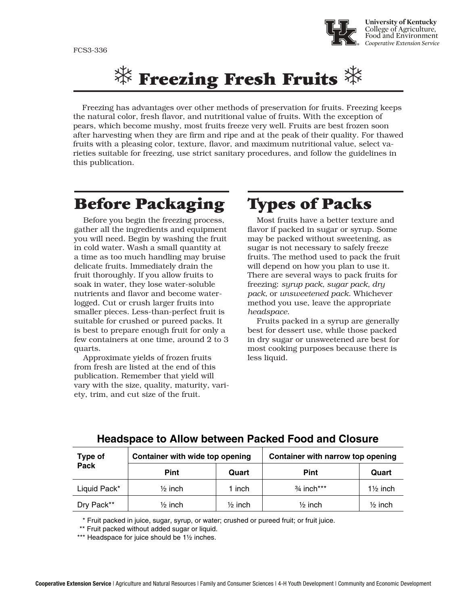

# $\mathbb K$  Freezing Fresh Fruits  $\mathbb K$

Freezing has advantages over other methods of preservation for fruits. Freezing keeps the natural color, fresh flavor, and nutritional value of fruits. With the exception of pears, which become mushy, most fruits freeze very well. Fruits are best frozen soon after harvesting when they are firm and ripe and at the peak of their quality. For thawed fruits with a pleasing color, texture, flavor, and maximum nutritional value, select varieties suitable for freezing, use strict sanitary procedures, and follow the guidelines in this publication.

## Before Packaging

Before you begin the freezing process, gather all the ingredients and equipment you will need. Begin by washing the fruit in cold water. Wash a small quantity at a time as too much handling may bruise delicate fruits. Immediately drain the fruit thoroughly. If you allow fruits to soak in water, they lose water-soluble nutrients and flavor and become waterlogged. Cut or crush larger fruits into smaller pieces. Less-than-perfect fruit is suitable for crushed or pureed packs. It is best to prepare enough fruit for only a few containers at one time, around 2 to 3 quarts.

Approximate yields of frozen fruits from fresh are listed at the end of this publication. Remember that yield will vary with the size, quality, maturity, variety, trim, and cut size of the fruit.

# Types of Packs

Most fruits have a better texture and flavor if packed in sugar or syrup. Some may be packed without sweetening, as sugar is not necessary to safely freeze fruits. The method used to pack the fruit will depend on how you plan to use it. There are several ways to pack fruits for freezing: *syrup pack, sugar pack, dry pack,* or *unsweetened pack*. Whichever method you use, leave the appropriate *headspace*.

Fruits packed in a syrup are generally best for dessert use, while those packed in dry sugar or unsweetened are best for most cooking purposes because there is less liquid.

| Type of<br><b>Pack</b> | Container with wide top opening |                    | Container with narrow top opening |                     |
|------------------------|---------------------------------|--------------------|-----------------------------------|---------------------|
|                        | <b>Pint</b>                     | Quart              | Pint                              | Quart               |
| Liquid Pack*           | $\frac{1}{2}$ inch              | inch               | $3/4$ inch***                     | $1\frac{1}{2}$ inch |
| Dry Pack**             | $\frac{1}{2}$ inch              | $\frac{1}{2}$ inch | $\frac{1}{2}$ inch                | $\frac{1}{2}$ inch  |

#### **Headspace to Allow between Packed Food and Closure**

\* Fruit packed in juice, sugar, syrup, or water; crushed or pureed fruit; or fruit juice.

\*\* Fruit packed without added sugar or liquid.

\*\*\* Headspace for juice should be 1½ inches.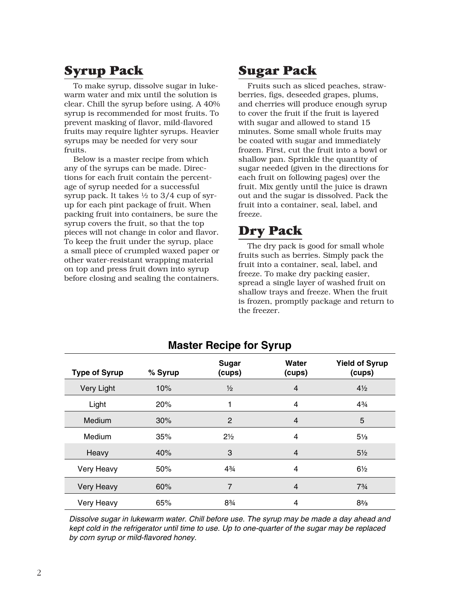### Syrup Pack

To make syrup, dissolve sugar in lukewarm water and mix until the solution is clear. Chill the syrup before using. A 40% syrup is recommended for most fruits. To prevent masking of flavor, mild-flavored fruits may require lighter syrups. Heavier syrups may be needed for very sour fruits.

Below is a master recipe from which any of the syrups can be made. Directions for each fruit contain the percentage of syrup needed for a successful syrup pack. It takes ½ to 3/4 cup of syrup for each pint package of fruit. When packing fruit into containers, be sure the syrup covers the fruit, so that the top pieces will not change in color and flavor. To keep the fruit under the syrup, place a small piece of crumpled waxed paper or other water-resistant wrapping material on top and press fruit down into syrup before closing and sealing the containers.

#### Sugar Pack

Fruits such as sliced peaches, strawberries, figs, deseeded grapes, plums, and cherries will produce enough syrup to cover the fruit if the fruit is layered with sugar and allowed to stand 15 minutes. Some small whole fruits may be coated with sugar and immediately frozen. First, cut the fruit into a bowl or shallow pan. Sprinkle the quantity of sugar needed (given in the directions for each fruit on following pages) over the fruit. Mix gently until the juice is drawn out and the sugar is dissolved. Pack the fruit into a container, seal, label, and freeze.

#### Dry Pack

The dry pack is good for small whole fruits such as berries. Simply pack the fruit into a container, seal, label, and freeze. To make dry packing easier, spread a single layer of washed fruit on shallow trays and freeze. When the fruit is frozen, promptly package and return to the freezer.

| <b>Type of Syrup</b> | % Syrup | <b>Sugar</b><br>(cups) | Water<br>(cups) | <b>Yield of Syrup</b><br>(cups) |
|----------------------|---------|------------------------|-----------------|---------------------------------|
| Very Light           | 10%     | $\frac{1}{2}$          | 4               | $4\frac{1}{2}$                  |
| Light                | 20%     |                        | 4               | $4\frac{3}{4}$                  |
| Medium               | 30%     | 2                      | 4               | 5                               |
| Medium               | 35%     | $2\frac{1}{2}$         | 4               | $5\frac{1}{3}$                  |
| Heavy                | 40%     | 3                      | 4               | $5\frac{1}{2}$                  |
| Very Heavy           | 50%     | 43⁄4                   | 4               | $6\frac{1}{2}$                  |
| <b>Very Heavy</b>    | 60%     | $\overline{7}$         | 4               | $7^{3}/_{4}$                    |
| Very Heavy           | 65%     | 8%                     | 4               | $8\frac{2}{3}$                  |

#### **Master Recipe for Syrup**

Dissolve sugar in lukewarm water. Chill before use. The syrup may be made a day ahead and kept cold in the refrigerator until time to use. Up to one-quarter of the sugar may be replaced by corn syrup or mild-flavored honey.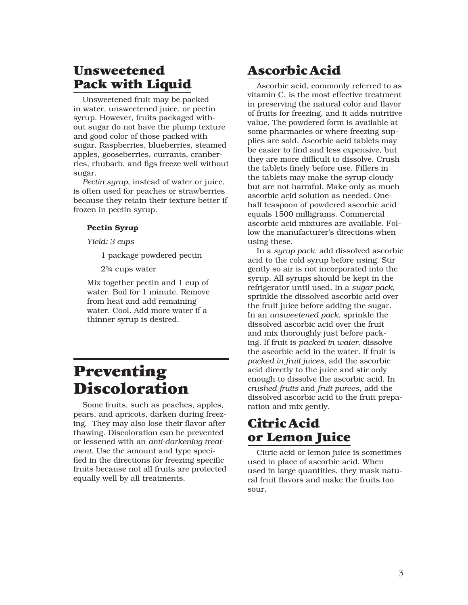#### **Unsweetened** Pack with Liquid

Unsweetened fruit may be packed in water, unsweetened juice, or pectin syrup. However, fruits packaged without sugar do not have the plump texture and good color of those packed with sugar. Raspberries, blueberries, steamed apples, gooseberries, currants, cranberries, rhubarb, and figs freeze well without sugar.

*Pectin syrup*, instead of water or juice, is often used for peaches or strawberries because they retain their texture better if frozen in pectin syrup.

#### Pectin Syrup

*Yield: 3 cups*

1 package powdered pectin

2¾ cups water

Mix together pectin and 1 cup of water. Boil for 1 minute. Remove from heat and add remaining water. Cool. Add more water if a thinner syrup is desired.

# Preventing Discoloration

Some fruits, such as peaches, apples, pears, and apricots, darken during freezing. They may also lose their flavor after thawing. Discoloration can be prevented or lessened with an *anti-darkening treatment*. Use the amount and type specified in the directions for freezing specific fruits because not all fruits are protected equally well by all treatments.

### Ascorbic Acid

Ascorbic acid, commonly referred to as vitamin C, is the most effective treatment in preserving the natural color and flavor of fruits for freezing, and it adds nutritive value. The powdered form is available at some pharmacies or where freezing supplies are sold. Ascorbic acid tablets may be easier to find and less expensive, but they are more difficult to dissolve. Crush the tablets finely before use. Fillers in the tablets may make the syrup cloudy but are not harmful. Make only as much ascorbic acid solution as needed. Onehalf teaspoon of powdered ascorbic acid equals 1500 milligrams. Commercial ascorbic acid mixtures are available. Follow the manufacturer's directions when using these.

In a *syrup pack,* add dissolved ascorbic acid to the cold syrup before using. Stir gently so air is not incorporated into the syrup. All syrups should be kept in the refrigerator until used. In a *sugar pack*, sprinkle the dissolved ascorbic acid over the fruit juice before adding the sugar. In an *unsweetened pack*, sprinkle the dissolved ascorbic acid over the fruit and mix thoroughly just before packing. If fruit is *packed in water*, dissolve the ascorbic acid in the water. If fruit is *packed in fruit juices*, add the ascorbic acid directly to the juice and stir only enough to dissolve the ascorbic acid. In *crushed fruits* and *fruit purees*, add the dissolved ascorbic acid to the fruit preparation and mix gently.

#### Citric Acid or Lemon Juice

Citric acid or lemon juice is sometimes used in place of ascorbic acid. When used in large quantities, they mask natural fruit flavors and make the fruits too sour.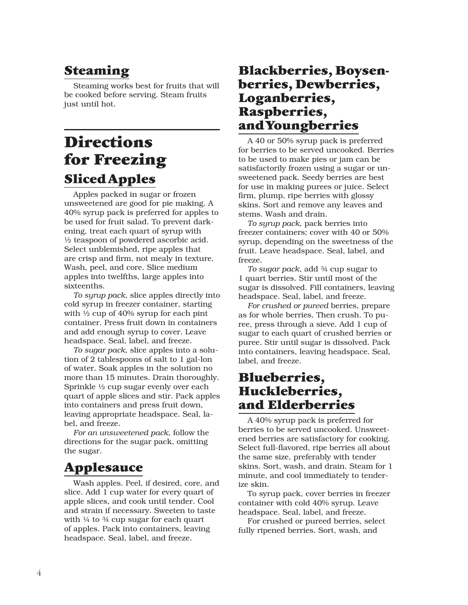### Steaming

Steaming works best for fruits that will be cooked before serving. Steam fruits just until hot.

# **Directions** for Freezing Sliced Apples

Apples packed in sugar or frozen unsweetened are good for pie making. A 40% syrup pack is preferred for apples to be used for fruit salad. To prevent darkening, treat each quart of syrup with ½ teaspoon of powdered ascorbic acid. Select unblemished, ripe apples that are crisp and firm, not mealy in texture. Wash, peel, and core. Slice medium apples into twelfths, large apples into sixteenths.

*To syrup pack*, slice apples directly into cold syrup in freezer container, starting with ½ cup of 40% syrup for each pint container. Press fruit down in containers and add enough syrup to cover. Leave headspace. Seal, label, and freeze.

*To sugar pack*, slice apples into a solution of 2 tablespoons of salt to 1 gal-lon of water. Soak apples in the solution no more than 15 minutes. Drain thoroughly. Sprinkle ½ cup sugar evenly over each quart of apple slices and stir. Pack apples into containers and press fruit down, leaving appropriate headspace. Seal, label, and freeze.

*For an unsweetened pack*, follow the directions for the sugar pack, omitting the sugar.

### Applesauce

Wash apples. Peel, if desired, core, and slice. Add 1 cup water for every quart of apple slices, and cook until tender. Cool and strain if necessary. Sweeten to taste with  $\frac{1}{4}$  to  $\frac{3}{4}$  cup sugar for each quart of apples. Pack into containers, leaving headspace. Seal, label, and freeze.

#### Blackberries, Boysenberries, Dewberries, Loganberries, Raspberries, and Youngberries

A 40 or 50% syrup pack is preferred for berries to be served uncooked. Berries to be used to make pies or jam can be satisfactorily frozen using a sugar or unsweetened pack. Seedy berries are best for use in making purees or juice. Select firm, plump, ripe berries with glossy skins. Sort and remove any leaves and stems. Wash and drain.

*To syrup pack*, pack berries into freezer containers; cover with 40 or 50% syrup, depending on the sweetness of the fruit. Leave headspace. Seal, label, and freeze.

*To sugar pack*, add ¾ cup sugar to 1 quart berries. Stir until most of the sugar is dissolved. Fill containers, leaving headspace. Seal, label, and freeze.

*For crushed or pureed* berries, prepare as for whole berries. Then crush. To puree, press through a sieve. Add 1 cup of sugar to each quart of crushed berries or puree. Stir until sugar is dissolved. Pack into containers, leaving headspace. Seal, label, and freeze.

#### Blueberries, Huckleberries, and Elderberries

A 40% syrup pack is preferred for berries to be served uncooked. Unsweetened berries are satisfactory for cooking. Select full-flavored, ripe berries all about the same size, preferably with tender skins. Sort, wash, and drain. Steam for 1 minute, and cool immediately to tenderize skin.

To syrup pack, cover berries in freezer container with cold 40% syrup. Leave headspace. Seal, label, and freeze.

For crushed or pureed berries, select fully ripened berries. Sort, wash, and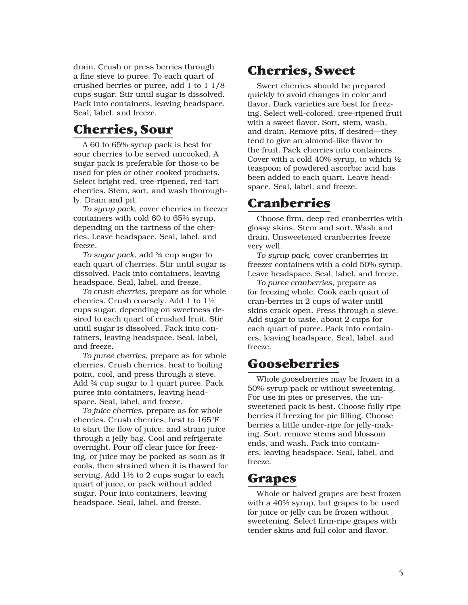drain. Crush or press berries through a fine sieve to puree. To each quart of crushed berries or puree, add 1 to 1 1/8 cups sugar. Stir until sugar is dissolved. Pack into containers, leaving headspace. Seal, label, and freeze.

#### Cherries, Sour

A 60 to 65% syrup pack is best for sour cherries to be served uncooked. A sugar pack is preferable for those to be used for pies or other cooked products. Select bright red, tree-ripened, red-tart cherries. Stem, sort, and wash thoroughly. Drain and pit.

*To syrup pack*, cover cherries in freezer containers with cold 60 to 65% syrup, depending on the tartness of the cherries. Leave headspace. Seal, label, and freeze.

*To sugar pack*, add ¾ cup sugar to each quart of cherries. Stir until sugar is dissolved. Pack into containers, leaving headspace. Seal, label, and freeze.

*To crush cherries*, prepare as for whole cherries. Crush coarsely. Add 1 to 1½ cups sugar, depending on sweetness desired to each quart of crushed fruit. Stir until sugar is dissolved. Pack into containers, leaving headspace. Seal, label, and freeze.

*To puree cherries*, prepare as for whole cherries. Crush cherries, heat to boiling point, cool, and press through a sieve. Add ¾ cup sugar to 1 quart puree. Pack puree into containers, leaving headspace. Seal, label, and freeze.

*To juice cherries*, prepare as for whole cherries. Crush cherries, heat to 165°F to start the flow of juice, and strain juice through a jelly bag. Cool and refrigerate overnight. Pour off clear juice for freezing, or juice may be packed as soon as it cools, then strained when it is thawed for serving. Add 1½ to 2 cups sugar to each quart of juice, or pack without added sugar. Pour into containers, leaving headspace. Seal, label, and freeze.

#### Cherries, Sweet

Sweet cherries should be prepared quickly to avoid changes in color and flavor. Dark varieties are best for freezing. Select well-colored, tree-ripened fruit with a sweet flavor. Sort, stem, wash, and drain. Remove pits, if desired—they tend to give an almond-like flavor to the fruit. Pack cherries into containers. Cover with a cold 40% syrup, to which ½ teaspoon of powdered ascorbic acid has been added to each quart. Leave headspace. Seal, label, and freeze.

#### **Cranberries**

Choose firm, deep-red cranberries with glossy skins. Stem and sort. Wash and drain. Unsweetened cranberries freeze very well.

*To syrup pack*, cover cranberries in freezer containers with a cold 50% syrup. Leave headspace. Seal, label, and freeze.

*To puree cranberries*, prepare as for freezing whole. Cook each quart of cran-berries in 2 cups of water until skins crack open. Press through a sieve. Add sugar to taste, about 2 cups for each quart of puree. Pack into containers, leaving headspace. Seal, label, and freeze.

#### Gooseberries

Whole gooseberries may be frozen in a 50% syrup pack or without sweetening. For use in pies or preserves, the unsweetened pack is best. Choose fully ripe berries if freezing for pie filling. Choose berries a little under-ripe for jelly-making. Sort, remove stems and blossom ends, and wash. Pack into containers, leaving headspace. Seal, label, and freeze.

#### Grapes

Whole or halved grapes are best frozen with a 40% syrup, but grapes to be used for juice or jelly can be frozen without sweetening. Select firm-ripe grapes with tender skins and full color and flavor.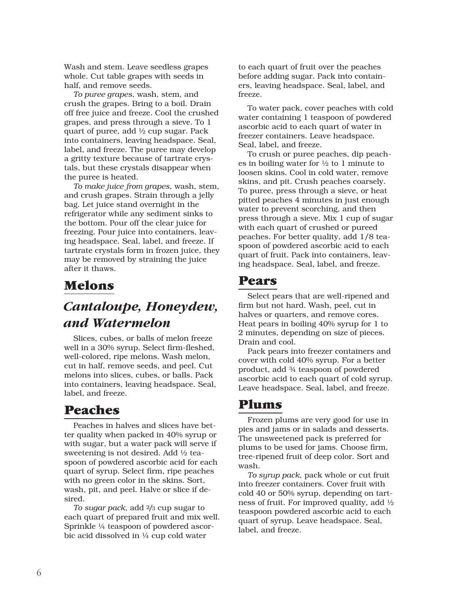Wash and stem. Leave seedless grapes whole. Cut table grapes with seeds in half, and remove seeds.

*To puree grapes*, wash, stem, and crush the grapes. Bring to a boil. Drain off free juice and freeze. Cool the crushed grapes, and press through a sieve. To 1 quart of puree, add ½ cup sugar. Pack into containers, leaving headspace. Seal, label, and freeze. The puree may develop a gritty texture because of tartrate crystals, but these crystals disappear when the puree is heated.

*To make juice from grapes*, wash, stem, and crush grapes. Strain through a jelly bag. Let juice stand overnight in the refrigerator while any sediment sinks to the bottom. Pour off the clear juice for freezing. Pour juice into containers, leaving headspace. Seal, label, and freeze. If tartrate crystals form in frozen juice, they may be removed by straining the juice after it thaws.

#### Melons

### *Cantaloupe, Honeydew, and Watermelon*

Slices, cubes, or balls of melon freeze well in a 30% syrup. Select firm-fleshed, well-colored, ripe melons. Wash melon, cut in half, remove seeds, and peel. Cut melons into slices, cubes, or balls. Pack into containers, leaving headspace. Seal, label, and freeze.

#### Peaches

Peaches in halves and slices have better quality when packed in 40% syrup or with sugar, but a water pack will serve if sweetening is not desired. Add ½ teaspoon of powdered ascorbic acid for each quart of syrup. Select firm, ripe peaches with no green color in the skins. Sort, wash, pit, and peel. Halve or slice if desired.

*To sugar pack*, add 2/3 cup sugar to each quart of prepared fruit and mix well. Sprinkle ¼ teaspoon of powdered ascorbic acid dissolved in ¼ cup cold water

to each quart of fruit over the peaches before adding sugar. Pack into containers, leaving headspace. Seal, label, and freeze.

To water pack, cover peaches with cold water containing 1 teaspoon of powdered ascorbic acid to each quart of water in freezer containers. Leave headspace. Seal, label, and freeze.

To crush or puree peaches, dip peaches in boiling water for  $\frac{1}{2}$  to 1 minute to loosen skins. Cool in cold water, remove skins, and pit. Crush peaches coarsely. To puree, press through a sieve, or heat pitted peaches 4 minutes in just enough water to prevent scorching, and then press through a sieve. Mix 1 cup of sugar with each quart of crushed or pureed peaches. For better quality, add 1/8 teaspoon of powdered ascorbic acid to each quart of fruit. Pack into containers, leaving headspace. Seal, label, and freeze.

#### Pears

Select pears that are well-ripened and firm but not hard. Wash, peel, cut in halves or quarters, and remove cores. Heat pears in boiling 40% syrup for 1 to 2 minutes, depending on size of pieces. Drain and cool.

Pack pears into freezer containers and cover with cold 40% syrup. For a better product, add ¾ teaspoon of powdered ascorbic acid to each quart of cold syrup. Leave headspace. Seal, label, and freeze.

#### Plums

Frozen plums are very good for use in pies and jams or in salads and desserts. The unsweetened pack is preferred for plums to be used for jams. Choose firm, tree-ripened fruit of deep color. Sort and wash.

*To syrup pack*, pack whole or cut fruit into freezer containers. Cover fruit with cold 40 or 50% syrup, depending on tartness of fruit. For improved quality, add ½ teaspoon powdered ascorbic acid to each quart of syrup. Leave headspace. Seal, label, and freeze.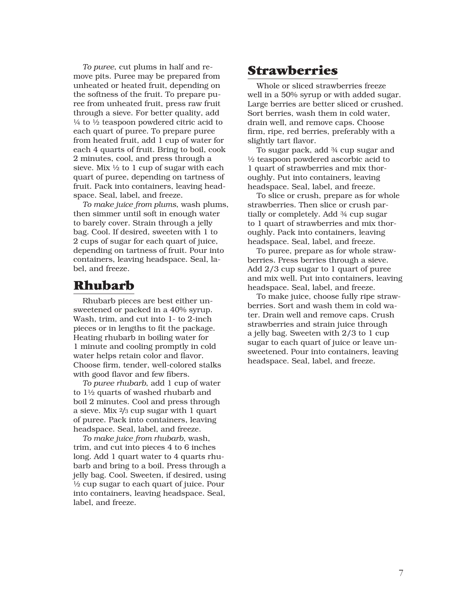*To puree*, cut plums in half and remove pits. Puree may be prepared from unheated or heated fruit, depending on the softness of the fruit. To prepare puree from unheated fruit, press raw fruit through a sieve. For better quality, add  $\frac{1}{4}$  to  $\frac{1}{2}$  teaspoon powdered citric acid to each quart of puree. To prepare puree from heated fruit, add 1 cup of water for each 4 quarts of fruit. Bring to boil, cook 2 minutes, cool, and press through a sieve. Mix ½ to 1 cup of sugar with each quart of puree, depending on tartness of fruit. Pack into containers, leaving headspace. Seal, label, and freeze.

*To make juice from plums*, wash plums, then simmer until soft in enough water to barely cover. Strain through a jelly bag. Cool. If desired, sweeten with 1 to 2 cups of sugar for each quart of juice, depending on tartness of fruit. Pour into containers, leaving headspace. Seal, label, and freeze.

#### Rhubarb

Rhubarb pieces are best either unsweetened or packed in a 40% syrup. Wash, trim, and cut into 1- to 2-inch pieces or in lengths to fit the package. Heating rhubarb in boiling water for 1 minute and cooling promptly in cold water helps retain color and flavor. Choose firm, tender, well-colored stalks with good flavor and few fibers.

*To puree rhubarb*, add 1 cup of water to 1½ quarts of washed rhubarb and boil 2 minutes. Cool and press through a sieve. Mix 2/3 cup sugar with 1 quart of puree. Pack into containers, leaving headspace. Seal, label, and freeze.

*To make juice from rhubarb*, wash, trim, and cut into pieces 4 to 6 inches long. Add 1 quart water to 4 quarts rhubarb and bring to a boil. Press through a jelly bag. Cool. Sweeten, if desired, using ½ cup sugar to each quart of juice. Pour into containers, leaving headspace. Seal, label, and freeze.

#### Strawberries

Whole or sliced strawberries freeze well in a 50% syrup or with added sugar. Large berries are better sliced or crushed. Sort berries, wash them in cold water, drain well, and remove caps. Choose firm, ripe, red berries, preferably with a slightly tart flavor.

To sugar pack, add ¾ cup sugar and ½ teaspoon powdered ascorbic acid to 1 quart of strawberries and mix thoroughly. Put into containers, leaving headspace. Seal, label, and freeze.

To slice or crush, prepare as for whole strawberries. Then slice or crush partially or completely. Add ¾ cup sugar to 1 quart of strawberries and mix thoroughly. Pack into containers, leaving headspace. Seal, label, and freeze.

To puree, prepare as for whole strawberries. Press berries through a sieve. Add 2/3 cup sugar to 1 quart of puree and mix well. Put into containers, leaving headspace. Seal, label, and freeze.

To make juice, choose fully ripe strawberries. Sort and wash them in cold water. Drain well and remove caps. Crush strawberries and strain juice through a jelly bag. Sweeten with 2/3 to 1 cup sugar to each quart of juice or leave unsweetened. Pour into containers, leaving headspace. Seal, label, and freeze.